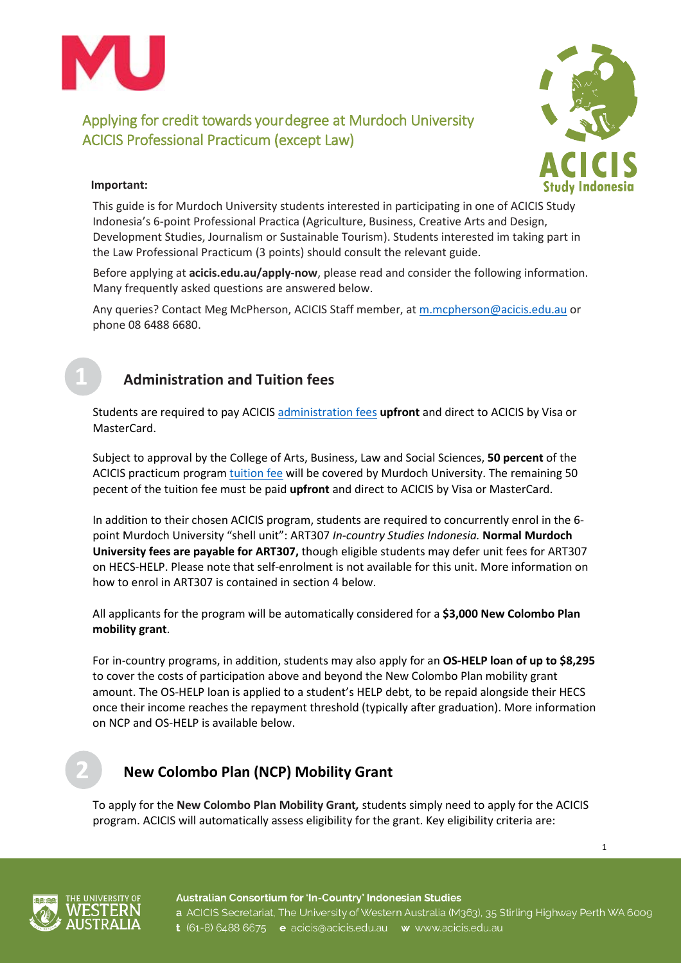



1

#### **Important:**

This guide is for Murdoch University students interested in participating in one of ACICIS Study Indonesia's 6-point Professional Practica (Agriculture, Business, Creative Arts and Design, Development Studies, Journalism or Sustainable Tourism). Students interested im taking part in the Law Professional Practicum (3 points) should consult the relevant guide.

Before applying at **[acicis.edu.au/apply-now](http://acicis.edu.au/apply-now)**, please read and consider the following information. Many frequently asked questions are answered below.

Any queries? Contact Meg McPherson, ACICIS Staff member, at [m.mcpherson@acicis.edu.au](mailto:m.mcpherson@acicis.edu.au) or phone 08 6488 6680.

### **Administration and Tuition fees**

Students are required to pay ACICIS [administration fees](https://www.acicis.edu.au/programs/practicum/costs/) **upfront** and direct to ACICIS by Visa or MasterCard.

Subject to approval by the College of Arts, Business, Law and Social Sciences, **50 percent** of the ACICIS practicum program *tuition fee will be covered by Murdoch University*. The remaining 50 pecent of the tuition fee must be paid **upfront** and direct to ACICIS by Visa or MasterCard.

In addition to their chosen ACICIS program, students are required to concurrently enrol in the 6 point Murdoch University "shell unit": ART307 *In-country Studies Indonesia.* **Normal Murdoch University fees are payable for ART307,** though eligible students may defer unit fees for ART307 on HECS-HELP. Please note that self-enrolment is not available for this unit. More information on how to enrol in ART307 is contained in section 4 below.

All applicants for the program will be automatically considered for a **\$3,000 New Colombo Plan mobility grant**.

For in-country programs, in addition, students may also apply for an **OS-HELP loan of up to \$8,295** to cover the costs of participation above and beyond the New Colombo Plan mobility grant amount. The OS-HELP loan is applied to a student's HELP debt, to be repaid alongside their HECS once their income reaches the repayment threshold (typically after graduation). More information on NCP and OS-HELP is available below.

### **New Colombo Plan (NCP) Mobility Grant**

To apply for the **New Colombo Plan Mobility Grant***,* students simply need to apply for the ACICIS program. ACICIS will automatically assess eligibility for the grant. Key eligibility criteria are:

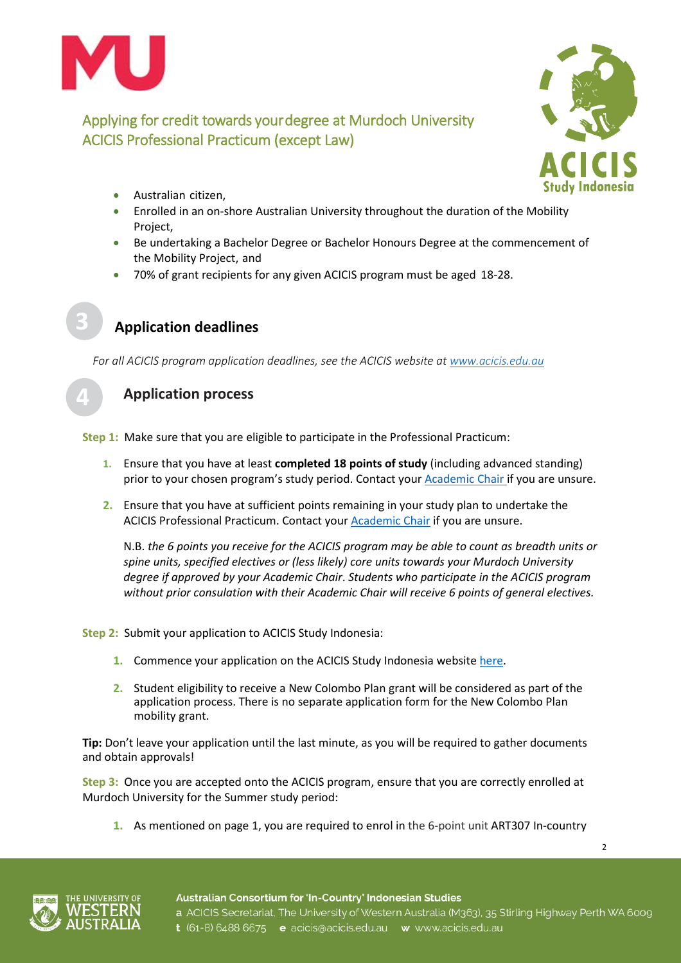



2

- Australian citizen,
- Enrolled in an on-shore Australian University throughout the duration of the Mobility Project,
- Be undertaking a Bachelor Degree or Bachelor Honours Degree at the commencement of the Mobility Project, and
- 70% of grant recipients for any given ACICIS program must be aged 18-28.



## **Application deadlines**

*For all ACICIS program application deadlines, see the ACICIS website at [www.acicis.edu.au](http://www.acicis.edu.au/)*

# **Application process**

**Step 1:** Make sure that you are eligible to participate in the Professional Practicum:

- **1.** Ensure that you have at least **completed 18 points of study** (including advanced standing) prior to your chosen program's study period. Contact your [Academic Chair](http://www.murdoch.edu.au/contacts/academic/) if you are unsure.
- **2.** Ensure that you have at sufficient points remaining in your study plan to undertake the ACICIS Professional Practicum. Contact you[r Academic Chair](http://www.murdoch.edu.au/contacts/academic/) if you are unsure.

N.B. *the 6 points you receive for the ACICIS program may be able to count as breadth units or spine units, specified electives or (less likely) core units towards your Murdoch University degree if approved by your Academic Chair*. *Students who participate in the ACICIS program without prior consulation with their Academic Chair will receive 6 points of general electives.* 

**Step 2:** Submit your application to ACICIS Study Indonesia:

- **1.** Commence your application on the ACICIS Study Indonesia website [here.](http://www.acicis.edu.au/apply-now/)
- **2.** Student eligibility to receive a New Colombo Plan grant will be considered as part of the application process. There is no separate application form for the New Colombo Plan mobility grant.

**Tip:** Don't leave your application until the last minute, as you will be required to gather documents and obtain approvals!

**Step 3:** Once you are accepted onto the ACICIS program, ensure that you are correctly enrolled at Murdoch University for the Summer study period:

**1.** As mentioned on page 1, you are required to enrol in the 6-point unit ART307 In-country



Australian Consortium for 'In-Country' Indonesian Studies a ACICIS Secretariat, The University of Western Australia (M363), 35 Stirling Highway Perth WA 6009 t (61-8) 6488 6675 e acicis@acicis.edu.au w www.acicis.edu.au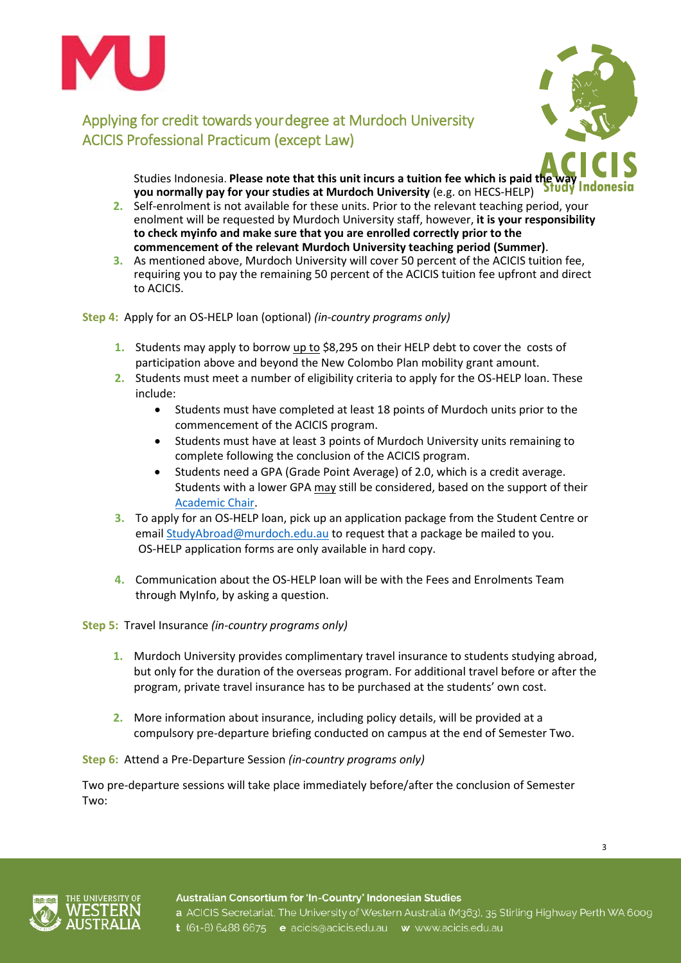



3

Studies Indonesia. Please note that this unit incurs a tuition fee which is paid the **you normally pay for your studies at Murdoch University** (e.g. on HECS-HELP)

- **2.** Self-enrolment is not available for these units. Prior to the relevant teaching period, your enolment will be requested by Murdoch University staff, however, **it is your responsibility to check myinfo and make sure that you are enrolled correctly prior to the commencement of the relevant Murdoch University teaching period (Summer)**.
- **3.** As mentioned above, Murdoch University will cover 50 percent of the ACICIS tuition fee, requiring you to pay the remaining 50 percent of the ACICIS tuition fee upfront and direct to ACICIS.

**Step 4:** Apply for an OS-HELP loan (optional) *(in-country programs only)*

- **1.** Students may apply to borrow up to \$8,295 on their HELP debt to cover the costs of participation above and beyond the New Colombo Plan mobility grant amount.
- **2.** Students must meet a number of eligibility criteria to apply for the OS-HELP loan. These include:
	- Students must have completed at least 18 points of Murdoch units prior to the commencement of the ACICIS program.
	- Students must have at least 3 points of Murdoch University units remaining to complete following the conclusion of the ACICIS program.
	- Students need a GPA (Grade Point Average) of 2.0, which is a credit average. Students with a lower GPA may still be considered, based on the support of their [Academic Chair.](http://www.murdoch.edu.au/contacts/academic/)
- **3.** To apply for an OS-HELP loan, pick up an application package from the Student Centre or emai[l StudyAbroad@murdoch.edu.au](mailto:StudyAbroad@murdoch.edu.au) to request that a package be mailed to you. OS-HELP application forms are only available in hard copy.
- **4.** Communication about the OS-HELP loan will be with the Fees and Enrolments Team through MyInfo, by asking a question.

### **Step 5:** Travel Insurance *(in-country programs only)*

- **1.** Murdoch University provides complimentary travel insurance to students studying abroad, but only for the duration of the overseas program. For additional travel before or after the program, private travel insurance has to be purchased at the students' own cost.
- **2.** More information about insurance, including policy details, will be provided at a compulsory pre-departure briefing conducted on campus at the end of Semester Two.

### **Step 6:** Attend a Pre-Departure Session *(in-country programs only)*

Two pre-departure sessions will take place immediately before/after the conclusion of Semester Two: